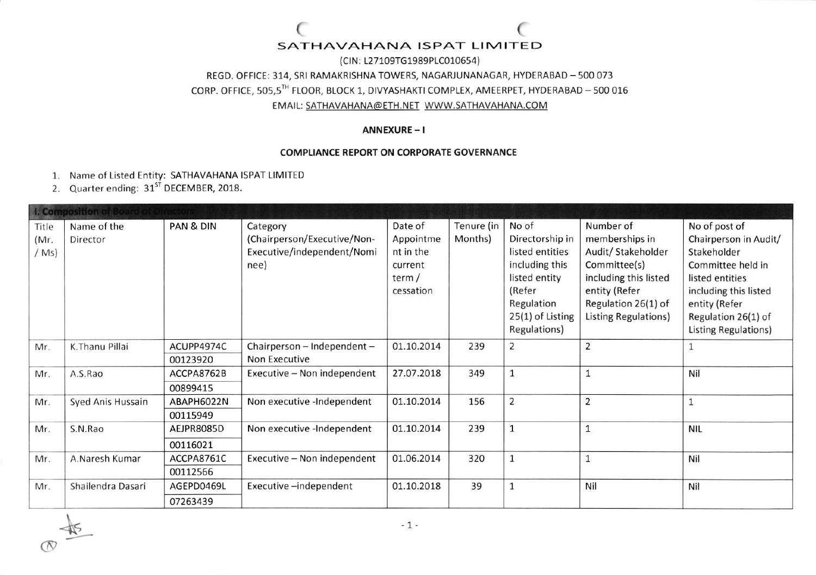(CIN: L27109TG1989PLC010654) REGD. OFFICE: 314, SRI RAMAKRISHNA TOWERS, NAGARJUNANAGAR, HYDERABAD - 500 073 CORP. OFFICE, 505,5TH FLOOR, BLOCK 1, DIVYASHAKTI COMPLEX, AMEERPET, HYDERABAD - 500 016 EMAIL: SATHAVAHANA@ETH.NET\_WWW.SATHAVAHANA.COM

#### ANNEXURE-I

#### **COMPLIANCE REPORT ON CORPORATE GOVERNANCE**

- 1. Name of Listed Entity: SATHAVAHANA ISPAT LIMITED
- 2. Quarter ending: 31<sup>st</sup> DECEMBER, 2018.

| <b>I. Composition of Board of Directors</b> |                         |            |                                                                               |                                                                       |                       |                                                                                                                                            |                                                                                                                                                            |                                                                                                                                                                                               |
|---------------------------------------------|-------------------------|------------|-------------------------------------------------------------------------------|-----------------------------------------------------------------------|-----------------------|--------------------------------------------------------------------------------------------------------------------------------------------|------------------------------------------------------------------------------------------------------------------------------------------------------------|-----------------------------------------------------------------------------------------------------------------------------------------------------------------------------------------------|
| Title<br>(Mr)<br>(Ms)                       | Name of the<br>Director | PAN & DIN  | Category<br>(Chairperson/Executive/Non-<br>Executive/independent/Nomi<br>nee) | Date of<br>Appointme<br>nt in the<br>current<br>term $/$<br>cessation | Tenure (in<br>Months) | No of<br>Directorship in<br>listed entities<br>including this<br>listed entity<br>(Refer<br>Regulation<br>25(1) of Listing<br>Regulations) | Number of<br>memberships in<br>Audit/ Stakeholder<br>Committee(s)<br>including this listed<br>entity (Refer<br>Regulation 26(1) of<br>Listing Regulations) | No of post of<br>Chairperson in Audit/<br>Stakeholder<br>Committee held in<br>listed entities<br>including this listed<br>entity (Refer<br>Regulation 26(1) of<br><b>Listing Regulations)</b> |
| Mr.                                         | K.Thanu Pillai          | ACUPP4974C | Chairperson - Independent -                                                   | 01.10.2014                                                            | 239                   | $\overline{2}$                                                                                                                             | $\overline{2}$                                                                                                                                             |                                                                                                                                                                                               |
|                                             |                         | 00123920   | <b>Non Executive</b>                                                          |                                                                       |                       |                                                                                                                                            |                                                                                                                                                            |                                                                                                                                                                                               |
| Mr.                                         | A.S.Rao                 | ACCPA8762B | Executive - Non independent                                                   | 27.07.2018                                                            | 349                   |                                                                                                                                            |                                                                                                                                                            | Nil                                                                                                                                                                                           |
|                                             |                         | 00899415   |                                                                               |                                                                       |                       |                                                                                                                                            |                                                                                                                                                            |                                                                                                                                                                                               |
| Mr.                                         | Syed Anis Hussain       | ABAPH6022N | Non executive -Independent                                                    | 01.10.2014                                                            | 156                   | $\overline{2}$                                                                                                                             | $\overline{2}$                                                                                                                                             |                                                                                                                                                                                               |
|                                             |                         | 00115949   |                                                                               |                                                                       |                       |                                                                                                                                            |                                                                                                                                                            |                                                                                                                                                                                               |
| Mr.                                         | S.N.Rao                 | AEJPR8085D | Non executive -Independent                                                    | 01.10.2014                                                            | 239                   |                                                                                                                                            | $\mathbf{1}$                                                                                                                                               | <b>NIL</b>                                                                                                                                                                                    |
|                                             |                         | 00116021   |                                                                               |                                                                       |                       |                                                                                                                                            |                                                                                                                                                            |                                                                                                                                                                                               |
| Mr.                                         | A.Naresh Kumar          | ACCPA8761C | Executive - Non independent                                                   | 01.06.2014                                                            | 320                   | $\mathbf{1}$                                                                                                                               | 1                                                                                                                                                          | Nil                                                                                                                                                                                           |
|                                             |                         | 00112566   |                                                                               |                                                                       |                       |                                                                                                                                            |                                                                                                                                                            |                                                                                                                                                                                               |
| Mr.                                         | Shailendra Dasari       | AGEPD0469L | Executive-independent                                                         | 01.10.2018                                                            | 39                    | $\mathbf{1}$                                                                                                                               | Nil                                                                                                                                                        | Nil                                                                                                                                                                                           |
|                                             |                         | 07263439   |                                                                               |                                                                       |                       |                                                                                                                                            |                                                                                                                                                            |                                                                                                                                                                                               |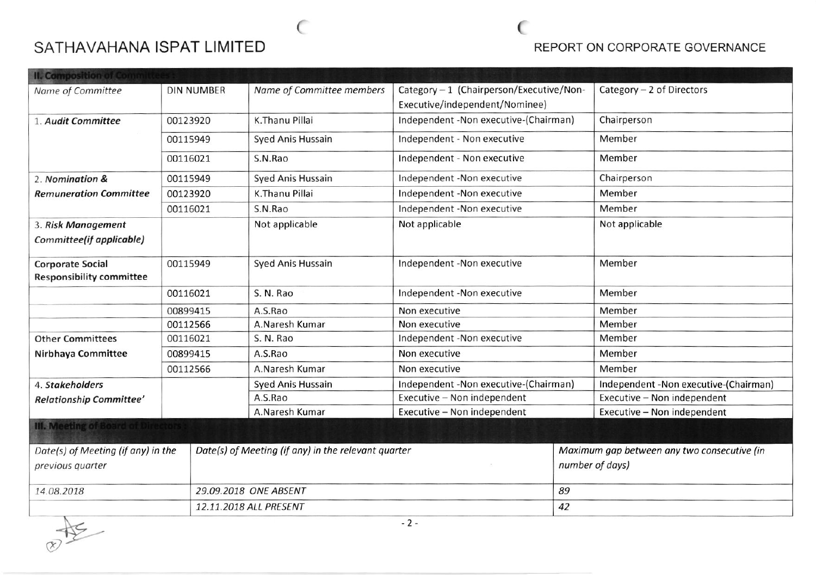$\epsilon$ 

### REPORT ON CORPORATE GOVERNANCE

€

| <b>II. Composition of Committ</b>         |                                                             |                                                     |                           |                                          |                 |                                             |  |
|-------------------------------------------|-------------------------------------------------------------|-----------------------------------------------------|---------------------------|------------------------------------------|-----------------|---------------------------------------------|--|
| Name of Committee                         | <b>DIN NUMBER</b>                                           |                                                     | Name of Committee members | Category - 1 (Chairperson/Executive/Non- |                 | Category $-2$ of Directors                  |  |
|                                           |                                                             |                                                     |                           | Executive/independent/Nominee)           |                 |                                             |  |
| 1. Audit Committee                        | 00123920                                                    |                                                     | K.Thanu Pillai            | Independent - Non executive-(Chairman)   |                 | Chairperson                                 |  |
|                                           | 00115949                                                    |                                                     | Syed Anis Hussain         | Independent - Non executive              |                 | Member                                      |  |
|                                           | 00116021                                                    |                                                     | S.N.Rao                   | Independent - Non executive              |                 | Member                                      |  |
| 2. Nomination &                           | Syed Anis Hussain<br>Independent -Non executive<br>00115949 |                                                     |                           | Chairperson                              |                 |                                             |  |
| <b>Remuneration Committee</b>             | 00123920                                                    |                                                     | K.Thanu Pillai            | Independent -Non executive               |                 | Member                                      |  |
|                                           | 00116021                                                    |                                                     | S.N.Rao                   | Independent -Non executive               |                 | Member                                      |  |
| 3. Risk Management                        |                                                             |                                                     | Not applicable            | Not applicable                           |                 | Not applicable                              |  |
| Committee(if applicable)                  |                                                             |                                                     |                           |                                          |                 |                                             |  |
| <b>Corporate Social</b>                   | 00115949                                                    |                                                     | <b>Syed Anis Hussain</b>  | Independent -Non executive               |                 | Member                                      |  |
| <b>Responsibility committee</b>           |                                                             |                                                     |                           |                                          |                 |                                             |  |
|                                           | 00116021<br>S. N. Rao                                       |                                                     |                           | Independent -Non executive               |                 | Member                                      |  |
|                                           | 00899415                                                    |                                                     | A.S.Rao                   | Non executive                            |                 | Member                                      |  |
|                                           | 00112566                                                    |                                                     | A.Naresh Kumar            | Non executive                            |                 | Member                                      |  |
| <b>Other Committees</b>                   | 00116021                                                    |                                                     | S. N. Rao                 | Independent -Non executive               |                 | Member                                      |  |
| Nirbhaya Committee                        | 00899415                                                    |                                                     | A.S.Rao                   | Non executive                            |                 | Member                                      |  |
|                                           | 00112566                                                    |                                                     | A.Naresh Kumar            | Non executive                            |                 | Member                                      |  |
| 4. Stakeholders                           |                                                             |                                                     | <b>Syed Anis Hussain</b>  | Independent -Non executive-(Chairman)    |                 | Independent -Non executive-(Chairman)       |  |
| Relationship Committee'                   |                                                             |                                                     | A.S.Rao                   | Executive - Non independent              |                 | Executive - Non independent                 |  |
|                                           |                                                             |                                                     | A.Naresh Kumar            | Executive - Non independent              |                 | Executive - Non independent                 |  |
| <b>III. Meeting of Board of Directors</b> |                                                             |                                                     |                           |                                          |                 |                                             |  |
| Date(s) of Meeting (if any) in the        |                                                             | Date(s) of Meeting (if any) in the relevant quarter |                           |                                          |                 | Maximum gap between any two consecutive (in |  |
| previous quarter                          |                                                             |                                                     |                           |                                          | number of days) |                                             |  |
| 14.08.2018                                |                                                             | 29.09.2018 ONE ABSENT                               |                           |                                          | 89              |                                             |  |
|                                           |                                                             |                                                     | 12.11.2018 ALL PRESENT    |                                          |                 | 42                                          |  |

 $\frac{1}{\sqrt{2}}$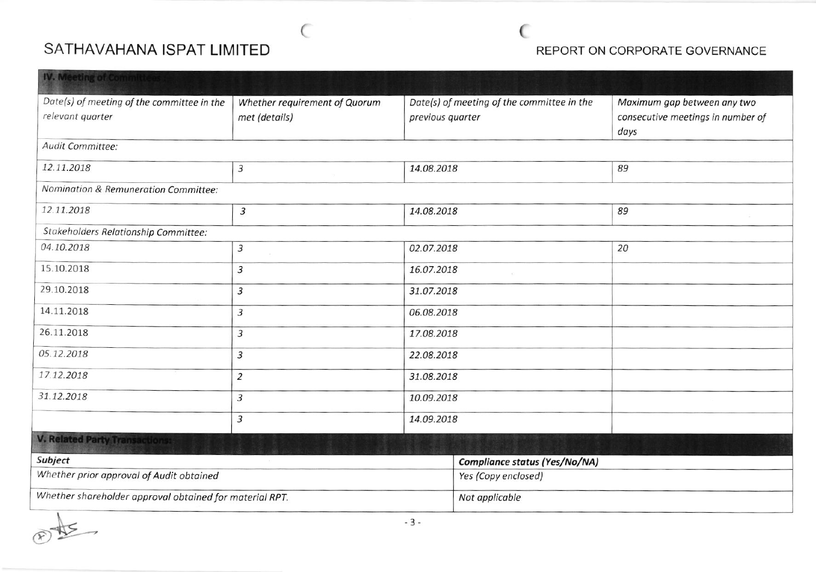### REPORT ON CORPORATE GOVERNANCE

| <b>IV. Meeting of Committees</b>                               |                                                |                                                                |  |                                                                          |  |
|----------------------------------------------------------------|------------------------------------------------|----------------------------------------------------------------|--|--------------------------------------------------------------------------|--|
| Date(s) of meeting of the committee in the<br>relevant quarter | Whether requirement of Quorum<br>met (details) | Date(s) of meeting of the committee in the<br>previous quarter |  | Maximum gap between any two<br>consecutive meetings in number of<br>days |  |
| Audit Committee:                                               |                                                |                                                                |  |                                                                          |  |
| 12.11.2018                                                     | $\mathfrak{Z}$                                 | 14.08.2018                                                     |  | 89                                                                       |  |
| Nomination & Remuneration Committee:                           |                                                |                                                                |  |                                                                          |  |
| 12.11.2018<br>$\sqrt{3}$                                       |                                                | 14.08.2018                                                     |  | 89                                                                       |  |
| Stakeholders Relationship Committee:                           |                                                |                                                                |  |                                                                          |  |
| 04.10.2018                                                     | 3                                              | 02.07.2018                                                     |  | 20                                                                       |  |
| 15.10.2018                                                     | 3                                              | 16.07.2018                                                     |  |                                                                          |  |
| 29.10.2018                                                     | 3                                              | 31.07.2018                                                     |  |                                                                          |  |
| 14.11.2018                                                     | 3                                              | 06.08.2018                                                     |  |                                                                          |  |
| 26.11.2018                                                     | 3<br>17.08.2018                                |                                                                |  |                                                                          |  |
| 05.12.2018                                                     | 3<br>22.08.2018                                |                                                                |  |                                                                          |  |
| 17.12.2018                                                     | $\overline{2}$                                 | 31.08.2018                                                     |  |                                                                          |  |
| 31.12.2018                                                     | 3                                              | 10.09.2018                                                     |  |                                                                          |  |
|                                                                | 3                                              | 14.09.2018                                                     |  |                                                                          |  |
| <b>V. Related Party Transactions:</b>                          |                                                |                                                                |  |                                                                          |  |
| Subject                                                        |                                                | Compliance status (Yes/No/NA)                                  |  |                                                                          |  |
| Whether prior approval of Audit obtained                       |                                                | Yes (Copy enclosed)                                            |  |                                                                          |  |
| Whether shareholder approval obtained for material RPT.        |                                                | Not applicable                                                 |  |                                                                          |  |